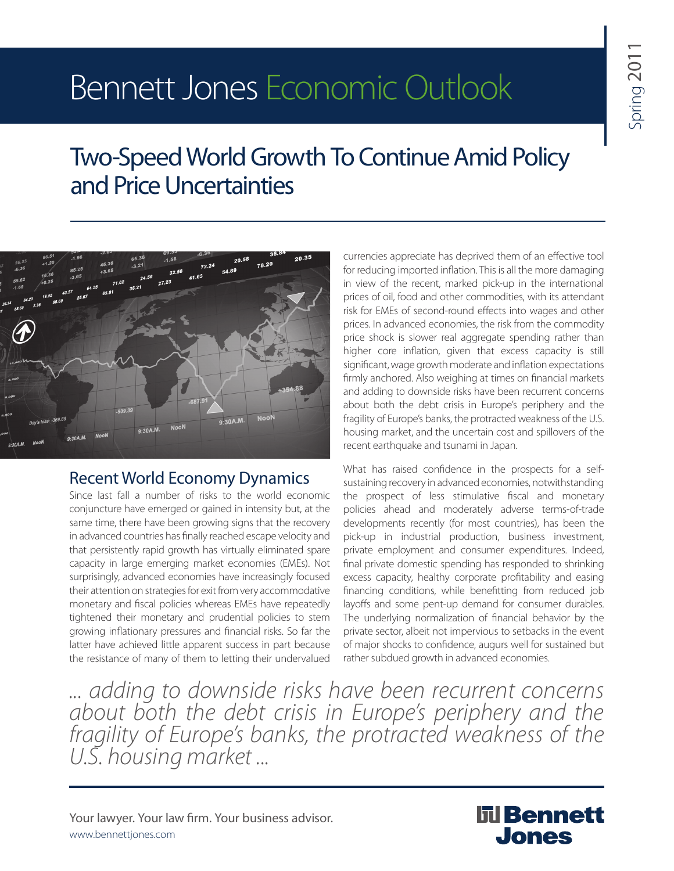# Bennett Jones Economic Outlook

# Two-Speed World Growth To Continue Amid Policy and Price Uncertainties



# Recent World Economy Dynamics

Since last fall a number of risks to the world economic conjuncture have emerged or gained in intensity but, at the same time, there have been growing signs that the recovery in advanced countries has finally reached escape velocity and that persistently rapid growth has virtually eliminated spare capacity in large emerging market economies (EMEs). Not surprisingly, advanced economies have increasingly focused their attention on strategies for exit from very accommodative monetary and fiscal policies whereas EMEs have repeatedly tightened their monetary and prudential policies to stem growing inflationary pressures and financial risks. So far the latter have achieved little apparent success in part because the resistance of many of them to letting their undervalued

currencies appreciate has deprived them of an effective tool for reducing imported inflation. This is all the more damaging in view of the recent, marked pick-up in the international prices of oil, food and other commodities, with its attendant risk for EMEs of second-round effects into wages and other prices. In advanced economies, the risk from the commodity price shock is slower real aggregate spending rather than higher core inflation, given that excess capacity is still significant, wage growth moderate and inflation expectations firmly anchored. Also weighing at times on financial markets and adding to downside risks have been recurrent concerns about both the debt crisis in Europe's periphery and the fragility of Europe's banks, the protracted weakness of the U.S. housing market, and the uncertain cost and spillovers of the recent earthquake and tsunami in Japan.

What has raised confidence in the prospects for a selfsustaining recovery in advanced economies, notwithstanding the prospect of less stimulative fiscal and monetary policies ahead and moderately adverse terms-of-trade developments recently (for most countries), has been the pick-up in industrial production, business investment, private employment and consumer expenditures. Indeed, final private domestic spending has responded to shrinking excess capacity, healthy corporate profitability and easing financing conditions, while benefitting from reduced job layoffs and some pent-up demand for consumer durables. The underlying normalization of financial behavior by the private sector, albeit not impervious to setbacks in the event of major shocks to confidence, augurs well for sustained but rather subdued growth in advanced economies.

*... adding to downside risks have been recurrent concerns about both the debt crisis in Europe's periphery and the fragility of Europe's banks, the protracted weakness of the U.S. housing market ...*

Your lawyer. Your law firm. Your business advisor. www.bennettjones.com

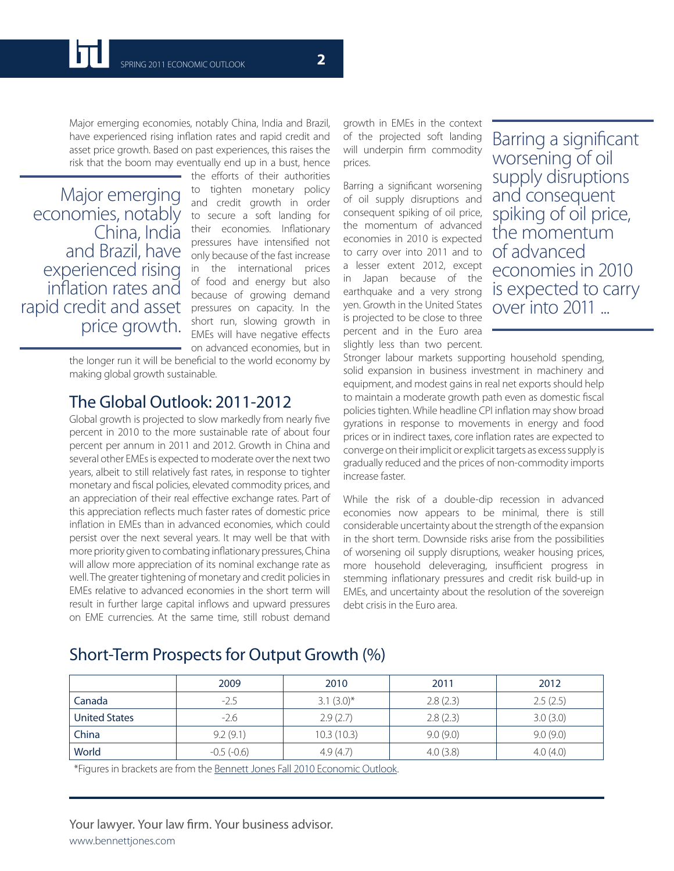Major emerging economies, notably China, India and Brazil, have experienced rising inflation rates and rapid credit and asset price growth. Based on past experiences, this raises the risk that the boom may eventually end up in a bust, hence

Major emerging economies, notably China, India and Brazil, have experienced rising inflation rates and rapid credit and asset price growth.

the efforts of their authorities to tighten monetary policy and credit growth in order to secure a soft landing for their economies. Inflationary pressures have intensified not only because of the fast increase in the international prices of food and energy but also because of growing demand pressures on capacity. In the short run, slowing growth in EMEs will have negative effects on advanced economies, but in

the longer run it will be beneficial to the world economy by making global growth sustainable.

# The Global Outlook: 2011-2012

Global growth is projected to slow markedly from nearly five percent in 2010 to the more sustainable rate of about four percent per annum in 2011 and 2012. Growth in China and several other EMEs is expected to moderate over the next two years, albeit to still relatively fast rates, in response to tighter monetary and fiscal policies, elevated commodity prices, and an appreciation of their real effective exchange rates. Part of this appreciation reflects much faster rates of domestic price inflation in EMEs than in advanced economies, which could persist over the next several years. It may well be that with more priority given to combating inflationary pressures, China will allow more appreciation of its nominal exchange rate as well. The greater tightening of monetary and credit policies in EMEs relative to advanced economies in the short term will result in further large capital inflows and upward pressures on EME currencies. At the same time, still robust demand

growth in EMEs in the context of the projected soft landing will underpin firm commodity prices.

Barring a significant worsening of oil supply disruptions and consequent spiking of oil price, the momentum of advanced economies in 2010 is expected to carry over into 2011 and to a lesser extent 2012, except in Japan because of the earthquake and a very strong yen. Growth in the United States is projected to be close to three percent and in the Euro area slightly less than two percent.

Barring a significant worsening of oil supply disruptions and consequent spiking of oil price, the momentum of advanced economies in 2010 is expected to carry over into 2011 ...

Stronger labour markets supporting household spending, solid expansion in business investment in machinery and equipment, and modest gains in real net exports should help to maintain a moderate growth path even as domestic fiscal policies tighten. While headline CPI inflation may show broad gyrations in response to movements in energy and food prices or in indirect taxes, core inflation rates are expected to converge on their implicit or explicit targets as excess supply is gradually reduced and the prices of non-commodity imports increase faster.

While the risk of a double-dip recession in advanced economies now appears to be minimal, there is still considerable uncertainty about the strength of the expansion in the short term. Downside risks arise from the possibilities of worsening oil supply disruptions, weaker housing prices, more household deleveraging, insufficient progress in stemming inflationary pressures and credit risk build-up in EMEs, and uncertainty about the resolution of the sovereign debt crisis in the Euro area.

# Short-Term Prospects for Output Growth (%)

|                      | 2009         | 2010          | 2011     | 2012     |
|----------------------|--------------|---------------|----------|----------|
| Canada               | $-2.5$       | $3.1 (3.0)^*$ | 2.8(2.3) | 2.5(2.5) |
| <b>United States</b> | $-2.6$       | 2.9(2.7)      | 2.8(2.3) | 3.0(3.0) |
| China                | 9.2(9.1)     | 10.3(10.3)    | 9.0(9.0) | 9.0(9.0) |
| World                | $-0.5(-0.6)$ | 4.9(4.7)      | 4.0(3.8) | 4.0(4.0) |

\*Figures in brackets are from the Bennett Jones Fall 2010 Economic Outlook.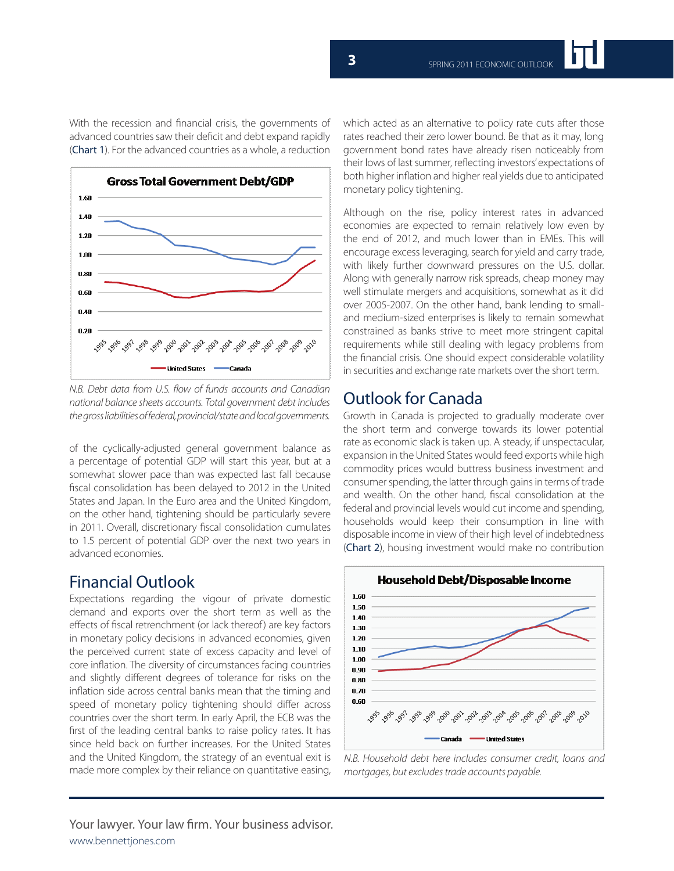

*N.B. Debt data from U.S. flow of funds accounts and Canadian national balance sheets accounts. Total government debt includes the gross liabilities of federal, provincial/state and local governments.*

United States - Canada

of the cyclically-adjusted general government balance as a percentage of potential GDP will start this year, but at a somewhat slower pace than was expected last fall because fiscal consolidation has been delayed to 2012 in the United States and Japan. In the Euro area and the United Kingdom, on the other hand, tightening should be particularly severe in 2011. Overall, discretionary fiscal consolidation cumulates to 1.5 percent of potential GDP over the next two years in advanced economies.

# Financial Outlook

Expectations regarding the vigour of private domestic demand and exports over the short term as well as the effects of fiscal retrenchment (or lack thereof) are key factors in monetary policy decisions in advanced economies, given the perceived current state of excess capacity and level of core inflation. The diversity of circumstances facing countries and slightly different degrees of tolerance for risks on the inflation side across central banks mean that the timing and speed of monetary policy tightening should differ across countries over the short term. In early April, the ECB was the first of the leading central banks to raise policy rates. It has since held back on further increases. For the United States and the United Kingdom, the strategy of an eventual exit is made more complex by their reliance on quantitative easing, which acted as an alternative to policy rate cuts after those rates reached their zero lower bound. Be that as it may, long government bond rates have already risen noticeably from their lows of last summer, reflecting investors' expectations of both higher inflation and higher real yields due to anticipated monetary policy tightening.

Although on the rise, policy interest rates in advanced economies are expected to remain relatively low even by the end of 2012, and much lower than in EMEs. This will encourage excess leveraging, search for yield and carry trade, with likely further downward pressures on the U.S. dollar. Along with generally narrow risk spreads, cheap money may well stimulate mergers and acquisitions, somewhat as it did over 2005-2007. On the other hand, bank lending to smalland medium-sized enterprises is likely to remain somewhat constrained as banks strive to meet more stringent capital requirements while still dealing with legacy problems from the financial crisis. One should expect considerable volatility in securities and exchange rate markets over the short term.

# Outlook for Canada

Growth in Canada is projected to gradually moderate over the short term and converge towards its lower potential rate as economic slack is taken up. A steady, if unspectacular, expansion in the United States would feed exports while high commodity prices would buttress business investment and consumer spending, the latter through gains in terms of trade and wealth. On the other hand, fiscal consolidation at the federal and provincial levels would cut income and spending, households would keep their consumption in line with disposable income in view of their high level of indebtedness (Chart 2), housing investment would make no contribution



*N.B. Household debt here includes consumer credit, loans and mortgages, but excludes trade accounts payable.*

With the recession and financial crisis, the governments of advanced countries saw their deficit and debt expand rapidly (Chart 1). For the advanced countries as a whole, a reduction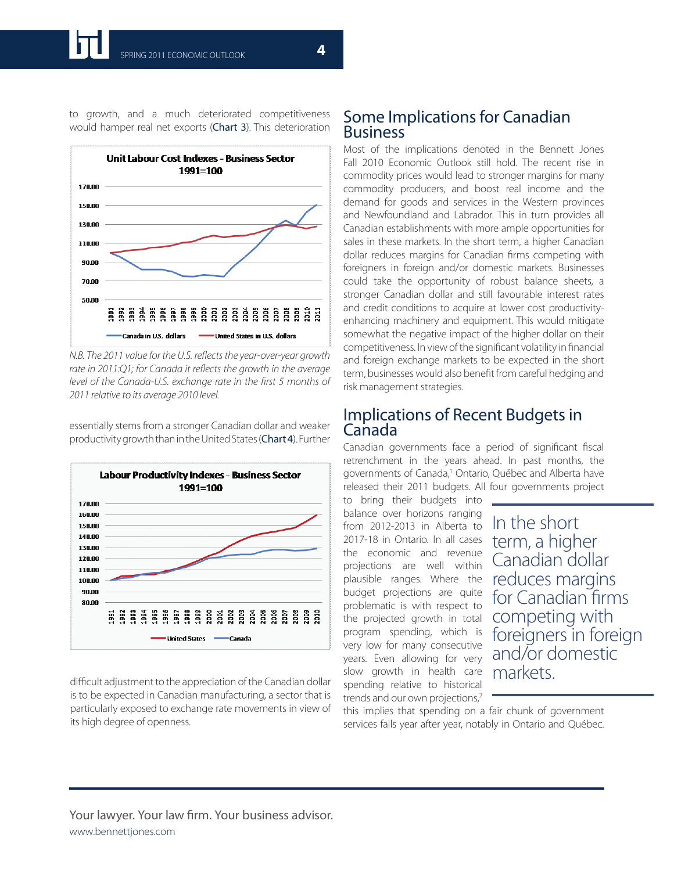

to growth, and a much deteriorated competitiveness would hamper real net exports (Chart 3). This deterioration

*N.B. The 2011 value for the U.S. reflects the year-over-year growth rate in 2011:Q1; for Canada it reflects the growth in the average level of the Canada-U.S. exchange rate in the first 5 months of 2011 relative to its average 2010 level.*

**Labour Productivity Indexes - Business Sector** 1991=100 170.00 160.00 150.00 140.00 130.00 120.00 110.00 100.00 90.00 80.00 3<br>888<br>888 **SS** ខ្លួនខ្លួនខ្លួ ăgi **998**  $\frac{8}{9}$ š ខ្លី å ŝ

essentially stems from a stronger Canadian dollar and weaker productivity growth than in the United States (Chart 4). Further

difficult adjustment to the appreciation of the Canadian dollar is to be expected in Canadian manufacturing, a sector that is particularly exposed to exchange rate movements in view of its high degree of openness.

### Some Implications for Canadian Business

Most of the implications denoted in the Bennett Jones Fall 2010 Economic Outlook still hold. The recent rise in commodity prices would lead to stronger margins for many commodity producers, and boost real income and the demand for goods and services in the Western provinces and Newfoundland and Labrador. This in turn provides all Canadian establishments with more ample opportunities for sales in these markets. In the short term, a higher Canadian dollar reduces margins for Canadian firms competing with foreigners in foreign and/or domestic markets. Businesses could take the opportunity of robust balance sheets, a stronger Canadian dollar and still favourable interest rates and credit conditions to acquire at lower cost productivityenhancing machinery and equipment. This would mitigate somewhat the negative impact of the higher dollar on their competitiveness. In view of the significant volatility in financial and foreign exchange markets to be expected in the short term, businesses would also benefit from careful hedging and risk management strategies.

# Implications of Recent Budgets in Canada

Canadian governments face a period of significant fiscal retrenchment in the years ahead. In past months, the governments of Canada,<sup>1</sup> Ontario, Québec and Alberta have released their 2011 budgets. All four governments project

to bring their budgets into balance over horizons ranging from 2012-2013 in Alberta to 2017-18 in Ontario. In all cases the economic and revenue projections are well within plausible ranges. Where the budget projections are quite problematic is with respect to the projected growth in total program spending, which is very low for many consecutive years. Even allowing for very slow growth in health care spending relative to historical trends and our own projections,<sup>2</sup>

In the short term, a higher Canadian dollar reduces margins for Canadian firms competing with foreigners in foreign and/or domestic markets.

this implies that spending on a fair chunk of government services falls year after year, notably in Ontario and Québec.

#### Your lawyer. Your law firm. Your business advisor. www.bennettjones.com